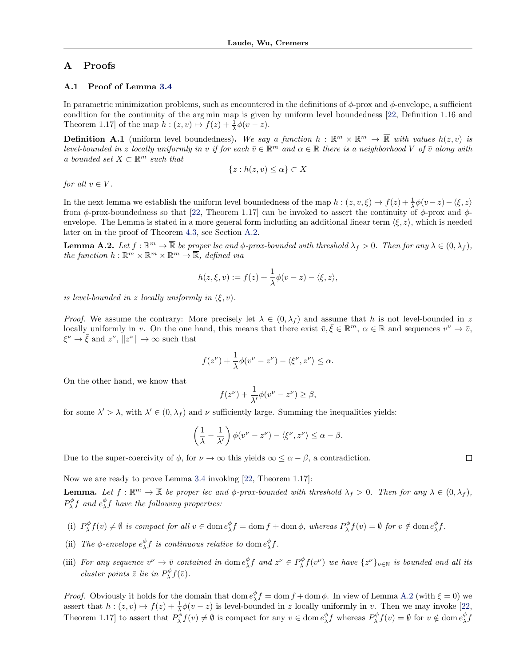## <span id="page-0-0"></span>A Proofs

## A.1 Proof of Lemma 3.4

In parametric minimization problems, such as encountered in the definitions of  $\phi$ -prox and  $\phi$ -envelope, a sufficient condition for the continuity of the arg min map is given by uniform level boundedness [\[22,](#page-5-0) Definition 1.16 and Theorem 1.17] of the map  $h : (z, v) \mapsto f(z) + \frac{1}{\lambda} \phi(v - z)$ .

**Definition A.1** (uniform level boundedness). We say a function  $h : \mathbb{R}^m \times \mathbb{R}^m \to \mathbb{R}$  with values  $h(z, v)$  is *level-bounded in z locally uniformly in v if for each*  $\bar{v} \in \mathbb{R}^m$  *and*  $\alpha \in \mathbb{R}$  *there is a neighborhood V of*  $\bar{v}$  *along with*  $a$   $bounded$   $set$   $X$   $\subset$   $\mathbb{R}^m$   $such$   $that$ 

$$
\{z: h(z,v) \le \alpha\} \subset X
$$

*for all*  $v \in V$ *.* 

In the next lemma we establish the uniform level boundedness of the map  $h : (z, v, \xi) \mapsto f(z) + \frac{1}{\lambda} \phi(v-z) - \langle \xi, z \rangle$ from  $\phi$ -prox-boundedness so that [\[22,](#page-5-0) Theorem 1.17] can be invoked to assert the continuity of  $\phi$ -prox and  $\phi$ envelope. The Lemma is stated in a more general form including an additional linear term  $\langle \xi, z \rangle$ , which is needed later on in the proof of Theorem 4.3, see Section [A.2.](#page-1-0)

**Lemma A.2.** Let  $f : \mathbb{R}^m \to \overline{\mathbb{R}}$  be proper lsc and  $\phi$ -prox-bounded with threshold  $\lambda_f > 0$ . Then for any  $\lambda \in (0, \lambda_f)$ , *the function*  $h: \mathbb{R}^m \times \mathbb{R}^m \times \mathbb{R}^m \to \overline{\mathbb{R}}$ *, defined via* 

$$
h(z,\xi,v) := f(z) + \frac{1}{\lambda}\phi(v-z) - \langle \xi, z \rangle,
$$

*is level-bounded in z locally uniformly in*  $(\xi, v)$ *.* 

*Proof.* We assume the contrary: More precisely let  $\lambda \in (0, \lambda_f)$  and assume that *h* is not level-bounded in *z* locally uniformly in *v*. On the one hand, this means that there exist  $\bar{v}, \xi \in \mathbb{R}^m$ ,  $\alpha \in \mathbb{R}$  and sequences  $v^{\nu} \to \bar{v}$ ,  $\xi^{\nu} \rightarrow \bar{\xi}$  and  $z^{\nu}$ ,  $||z^{\nu}|| \rightarrow \infty$  such that

$$
f(z^{\nu}) + \frac{1}{\lambda}\phi(v^{\nu} - z^{\nu}) - \langle \xi^{\nu}, z^{\nu} \rangle \leq \alpha.
$$

On the other hand, we know that

$$
f(z^{\nu}) + \frac{1}{\lambda'}\phi(v^{\nu} - z^{\nu}) \ge \beta,
$$

for some  $\lambda' > \lambda$ , with  $\lambda' \in (0, \lambda_f)$  and  $\nu$  sufficiently large. Summing the inequalities yields:

$$
\left(\frac{1}{\lambda} - \frac{1}{\lambda'}\right) \phi(v^{\nu} - z^{\nu}) - \langle \xi^{\nu}, z^{\nu} \rangle \leq \alpha - \beta.
$$

Due to the super-coercivity of  $\phi$ , for  $\nu \to \infty$  this yields  $\infty \leq \alpha - \beta$ , a contradiction.

Now we are ready to prove Lemma 3.4 invoking [\[22,](#page-5-0) Theorem 1.17]:

**Lemma.** Let  $f : \mathbb{R}^m \to \overline{\mathbb{R}}$  be proper lsc and  $\phi$ -prox-bounded with threshold  $\lambda_f > 0$ . Then for any  $\lambda \in (0, \lambda_f)$ ,  $P_{\lambda}^{\phi} f$  and  $e_{\lambda}^{\phi} f$  have the following properties:

- (i)  $P_{\lambda}^{\phi} f(v) \neq \emptyset$  is compact for all  $v \in \text{dom } e_{\lambda}^{\phi} f = \text{dom } f + \text{dom } \phi$ , whereas  $P_{\lambda}^{\phi} f(v) = \emptyset$  for  $v \notin \text{dom } e_{\lambda}^{\phi} f$ .
- (ii) The  $\phi$ -envelope  $e^{\phi}_{\lambda} f$  is continuous relative to dom  $e^{\phi}_{\lambda} f$ .
- (iii) For any sequence  $v^{\nu} \to \bar{v}$  contained in dom  $e^{\phi}_{\lambda} f$  and  $z^{\nu} \in P^{\phi}_{\lambda} f(v^{\nu})$  we have  $\{z^{\nu}\}_{\nu \in \mathbb{N}}$  is bounded and all its *cluster points*  $\bar{z}$  *lie in*  $P_{\lambda}^{\phi} f(\bar{v})$ *.*

*Proof.* Obviously it holds for the domain that dom  $e_{\lambda}^{\phi} f = \text{dom } f + \text{dom } \phi$ . In view of Lemma A.2 (with  $\xi = 0$ ) we assert that  $h : (z, v) \mapsto f(z) + \frac{1}{\lambda} \phi(v - z)$  is level-bounded in *z* locally uniformly in *v*. Then we may invoke [\[22,](#page-5-0) Theorem 1.17] to assert that  $P_\lambda^{\phi} f(v) \neq \emptyset$  is compact for any  $v \in \text{dom } e_\lambda^{\phi} f$  whereas  $P_\lambda^{\phi} f(v) = \emptyset$  for  $v \notin \text{dom } e_\lambda^{\phi} f(v)$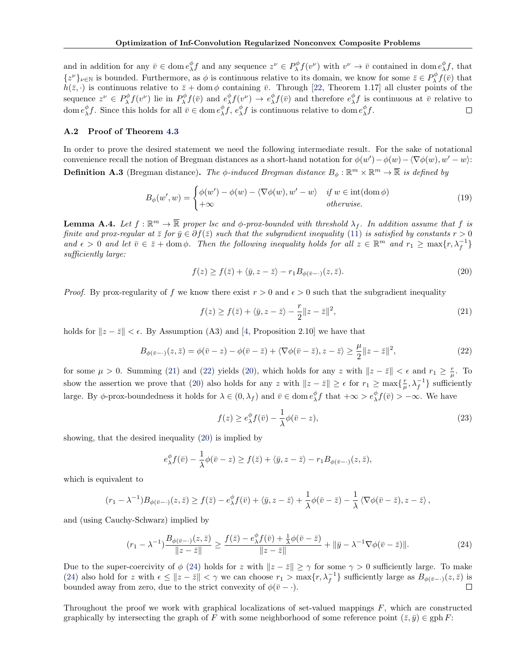<span id="page-1-0"></span>and in addition for any  $\bar{v} \in \text{dom } e_{\lambda}^{\phi} f$  and any sequence  $z^{\nu} \in P_{\lambda}^{\phi} f(v^{\nu})$  with  $v^{\nu} \to \bar{v}$  contained in dom  $e_{\lambda}^{\phi} f$ , that  $\{z^{\nu}\}_{\nu \in \mathbb{N}}$  is bounded. Furthermore, as  $\phi$  is continuous relative to its domain, we know for some  $\bar{z} \in P^{\phi}_{\lambda} f(\bar{v})$  that  $h(\bar{z}, \cdot)$  is continuous relative to  $\bar{z}$  + dom  $\phi$  containing  $\bar{v}$ . Through [\[22,](#page-5-0) Theorem 1.17] all cluster points of the sequence  $z^{\nu} \in P^{\phi}_{\lambda} f(v^{\nu})$  lie in  $P^{\phi}_{\lambda} f(\bar{v})$  and  $e^{\phi}_{\lambda} f(v^{\nu}) \to e^{\phi}_{\lambda} f(\bar{v})$  and therefore  $e^{\phi}_{\lambda} f$  is continuous at  $\bar{v}$  relative to  $\frac{d}{dx} \int f$ . Since this holds for all  $\bar{v} \in \text{dom } e^{\phi}_{\lambda} f$ ,  $e^{\phi}_{\lambda} f$  is continuous relative to dom  $e^{\phi}_{\lambda} f$ .  $\Box$ 

## A.2 Proof of Theorem [4.3](#page-0-0)

In order to prove the desired statement we need the following intermediate result. For the sake of notational convenience recall the notion of Bregman distances as a short-hand notation for  $\phi(w') - \phi(w) - \langle \nabla \phi(w), w' - w \rangle$ : **Definition A.3** (Bregman distance). The  $\phi$ -induced Bregman distance  $B_{\phi}: \mathbb{R}^m \times \mathbb{R}^m \to \overline{\mathbb{R}}$  is defined by

$$
B_{\phi}(w', w) = \begin{cases} \phi(w') - \phi(w) - \langle \nabla \phi(w), w' - w \rangle & \text{if } w \in \text{int}(\text{dom }\phi) \\ +\infty & \text{otherwise.} \end{cases}
$$
(19)

**Lemma A.4.** Let  $f : \mathbb{R}^m \to \overline{\mathbb{R}}$  proper lsc and  $\phi$ -prox-bounded with threshold  $\lambda_f$ . In addition assume that  $f$  is *finite and prox-regular at*  $\bar{z}$  *for*  $\bar{y} \in \partial f(\bar{z})$  *such that the subgradient inequality* [\(11\)](#page-0-0) *is satisfied by constants*  $r > 0$  $and \epsilon > 0$  and let  $\bar{v} \in \bar{z} + \text{dom }\phi$ . Then the following inequality holds for all  $z \in \mathbb{R}^m$  and  $r_1 \ge \max\{r, \lambda_f^{-1}\}\$ *suciently large:*

$$
f(z) \ge f(\bar{z}) + \langle \bar{y}, z - \bar{z} \rangle - r_1 B_{\phi(\bar{v}-\cdot)}(z, \bar{z}). \tag{20}
$$

*Proof.* By prox-regularity of f we know there exist  $r > 0$  and  $\epsilon > 0$  such that the subgradient inequality

$$
f(z) \ge f(\bar{z}) + \langle \bar{y}, z - \bar{z} \rangle - \frac{r}{2} ||z - \bar{z}||^2,
$$
\n(21)

holds for  $\|z - \bar{z}\| < \epsilon$ . By Assumption (A3) and [\[4,](#page-5-0) Proposition 2.10] we have that

$$
B_{\phi(\bar{v}-\cdot)}(z,\bar{z}) = \phi(\bar{v}-z) - \phi(\bar{v}-\bar{z}) + \langle \nabla\phi(\bar{v}-\bar{z}), z-\bar{z}\rangle \ge \frac{\mu}{2}||z-\bar{z}||^2,\tag{22}
$$

for some  $\mu > 0$ . Summing (21) and (22) yields (20), which holds for any *z* with  $\|z - \bar{z}\| < \epsilon$  and  $r_1 \ge \frac{r}{\mu}$ . To show the assertion we prove that (20) also holds for any *z* with  $\|z - \bar{z}\| \ge \epsilon$  for  $r_1 \ge \max\{\frac{r}{\mu}, \lambda_f^{-1}\}\$  sufficiently large. By  $\phi$ -prox-boundedness it holds for  $\lambda \in (0, \lambda_f)$  and  $\bar{v} \in \text{dom } e^{\phi}_{\lambda} f$  that  $+\infty > e^{\phi}_{\lambda} f(\bar{v}) > -\infty$ . We have

$$
f(z) \ge e_{\lambda}^{\phi} f(\bar{v}) - \frac{1}{\lambda} \phi(\bar{v} - z), \tag{23}
$$

showing, that the desired inequality (20) is implied by

$$
e_{\lambda}^{\phi} f(\bar{v}) - \frac{1}{\lambda} \phi(\bar{v} - z) \ge f(\bar{z}) + \langle \bar{y}, z - \bar{z} \rangle - r_1 B_{\phi(\bar{v} - \cdot)}(z, \bar{z}),
$$

which is equivalent to

$$
(r_1 - \lambda^{-1})B_{\phi(\bar{v}-\cdot)}(z,\bar{z}) \ge f(\bar{z}) - e_{\lambda}^{\phi}f(\bar{v}) + \langle \bar{y}, z - \bar{z} \rangle + \frac{1}{\lambda}\phi(\bar{v}-\bar{z}) - \frac{1}{\lambda}\langle \nabla \phi(\bar{v}-\bar{z}), z - \bar{z} \rangle,
$$

and (using Cauchy-Schwarz) implied by

$$
(r_1 - \lambda^{-1}) \frac{B_{\phi(\bar{v}-\cdot)}(z,\bar{z})}{\|z-\bar{z}\|} \ge \frac{f(\bar{z}) - e^{\phi}_{\lambda} f(\bar{v}) + \frac{1}{\lambda} \phi(\bar{v}-\bar{z})}{\|z-\bar{z}\|} + \|\bar{y} - \lambda^{-1} \nabla \phi(\bar{v}-\bar{z})\|.
$$
 (24)

Due to the super-coercivity of  $\phi$  (24) holds for *z* with  $\|z-\overline{z}\| \geq \gamma$  for some  $\gamma > 0$  sufficiently large. To make (24) also hold for *z* with  $\epsilon \leq ||z - \bar{z}|| < \gamma$  we can choose  $r_1 > \max\{r, \lambda_f^{-1}\}\$  sufficiently large as  $B_{\phi(\bar{v}-\cdot)}(z, \bar{z})$  is bounded away from zero, due to the strict convexity of  $\phi(\bar{v} - \cdot)$ .

Throughout the proof we work with graphical localizations of set-valued mappings *F*, which are constructed graphically by intersecting the graph of *F* with some neighborhood of some reference point  $(\bar{z}, \bar{y}) \in \text{gph } F$ :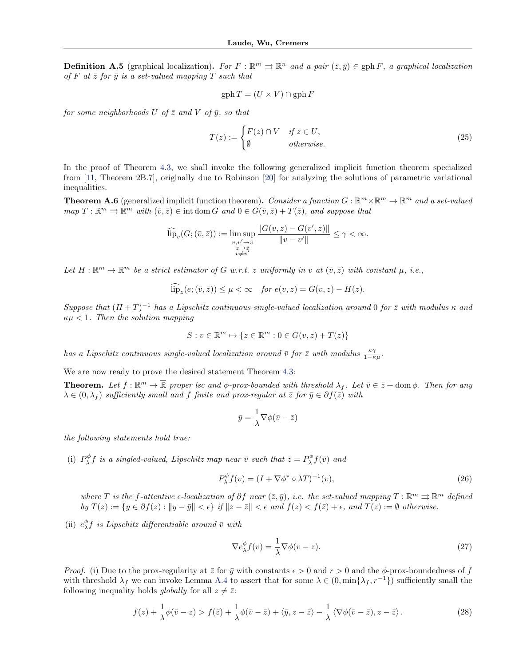<span id="page-2-0"></span>**Definition A.5** (graphical localization). For  $F : \mathbb{R}^m \implies \mathbb{R}^n$  and a pair  $(\bar{z}, \bar{y}) \in \text{gph } F$ , a graphical localization *of*  $F$  at  $\overline{z}$  *for*  $\overline{y}$  *is a set-valued mapping*  $T$  *such that* 

$$
\mathrm{gph}\, T = (U\times V)\cap \mathrm{gph}\, F
$$

*for some neighborhoods*  $U$  *of*  $\overline{z}$  *and*  $V$  *of*  $\overline{y}$ *, so that* 

$$
T(z) := \begin{cases} F(z) \cap V & \text{if } z \in U, \\ \emptyset & \text{otherwise.} \end{cases}
$$
 (25)

In the proof of Theorem [4.3,](#page-0-0) we shall invoke the following generalized implicit function theorem specialized from [\[11,](#page-5-0) Theorem 2B.7], originally due to Robinson [\[20\]](#page-5-0) for analyzing the solutions of parametric variational inequalities.

**Theorem A.6** (generalized implicit function theorem). *Consider a function*  $G : \mathbb{R}^m \times \mathbb{R}^m \to \mathbb{R}^m$  and a set-valued  $map T : \mathbb{R}^m \rightrightarrows \mathbb{R}^m$  *with*  $(\bar{v}, \bar{z}) \in \text{int dom } G$  *and*  $0 \in G(\bar{v}, \bar{z}) + T(\bar{z})$ *, and suppose that* 

$$
\widehat{\text{lip}}_{v}(G; (\bar{v}, \bar{z})) := \limsup_{\substack{v, v' \to \bar{v} \\ z \to \bar{z} \\ v \neq v'}} \frac{\|G(v, z) - G(v', z)\|}{\|v - v'\|} \le \gamma < \infty.
$$

*Let*  $H: \mathbb{R}^m \to \mathbb{R}^m$  *be a strict estimator of G w.r.t. z uniformly in v at*  $(\bar{v}, \bar{z})$  *with constant*  $\mu$ *, i.e.,* 

$$
\overline{\text{lip}}_z(e; (\overline{v}, \overline{z})) \le \mu < \infty \quad \text{for } e(v, z) = G(v, z) - H(z).
$$

*Suppose that*  $(H+T)^{-1}$  *has a Lipschitz continuous single-valued localization around* 0 *for*  $\overline{z}$  *with modulus*  $\kappa$  *and*  $\kappa\mu < 1$ *. Then the solution mapping* 

$$
S: v \in \mathbb{R}^m \mapsto \{z \in \mathbb{R}^m : 0 \in G(v, z) + T(z)\}
$$

*has a Lipschitz continuous single-valued localization around*  $\bar{v}$  for  $\bar{z}$  with modulus  $\frac{\kappa \gamma}{1-\kappa \mu}$ .

We are now ready to prove the desired statement Theorem [4.3:](#page-0-0)

**Theorem.** Let  $f : \mathbb{R}^m \to \overline{\mathbb{R}}$  proper lsc and  $\phi$ -prox-bounded with threshold  $\lambda_f$ . Let  $\overline{v} \in \overline{z} + \text{dom }\phi$ . Then for any  $\lambda \in (0, \lambda_f)$  sufficiently small and f finite and prox-regular at  $\overline{z}$  for  $\overline{y} \in \partial f(\overline{z})$  with

$$
\bar{y} = \frac{1}{\lambda} \nabla \phi(\bar{v} - \bar{z})
$$

*the following statements hold true:*

(i)  $P_{\lambda}^{\phi} f$  is a singled-valued, Lipschitz map near  $\bar{v}$  such that  $\bar{z} = P_{\lambda}^{\phi} f(\bar{v})$  and

$$
P_{\lambda}^{\phi} f(v) = (I + \nabla \phi^* \circ \lambda T)^{-1}(v), \tag{26}
$$

*where T* is the f-attentive  $\epsilon$ -localization of  $\partial f$  near  $(\bar{z}, \bar{y})$ , i.e. the set-valued mapping  $T : \mathbb{R}^m \rightrightarrows \mathbb{R}^m$  defined by  $T(z) := \{y \in \partial f(z) : ||y - \bar{y}|| < \epsilon\}$  if  $||z - \bar{z}|| < \epsilon$  and  $f(z) < f(\bar{z}) + \epsilon$ , and  $T(z) := \emptyset$  otherwise.

(ii)  $e^{\phi}_{\lambda} f$  is Lipschitz differentiable around  $\bar{v}$  with

$$
\nabla e_{\lambda}^{\phi} f(v) = \frac{1}{\lambda} \nabla \phi(v - z). \tag{27}
$$

*Proof.* (i) Due to the prox-regularity at  $\bar{z}$  for  $\bar{y}$  with constants  $\epsilon > 0$  and  $r > 0$  and the  $\phi$ -prox-boundedness of f with threshold  $\lambda_f$  we can invoke Lemma [A.4](#page-1-0) to assert that for some  $\lambda \in (0, \min\{\lambda_f, r^{-1}\})$  sufficiently small the following inequality holds *globally* for all  $z \neq \overline{z}$ .

$$
f(z) + \frac{1}{\lambda}\phi(\bar{v} - z) > f(\bar{z}) + \frac{1}{\lambda}\phi(\bar{v} - \bar{z}) + \langle \bar{y}, z - \bar{z} \rangle - \frac{1}{\lambda}\langle \nabla\phi(\bar{v} - \bar{z}), z - \bar{z} \rangle. \tag{28}
$$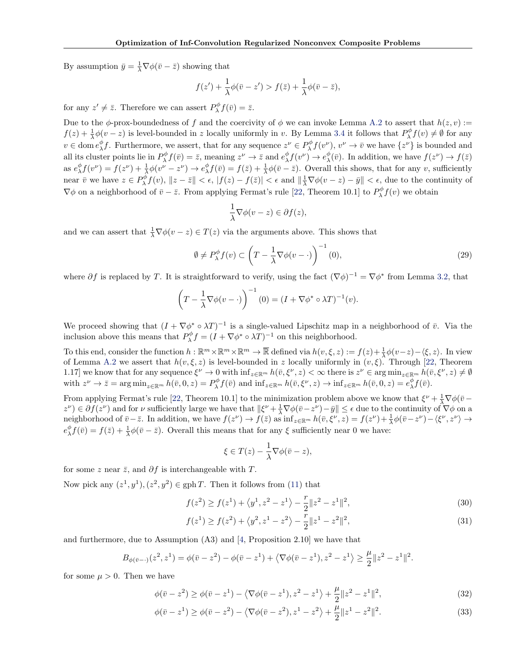By assumption  $\bar{y} = \frac{1}{\lambda} \nabla \phi(\bar{v} - \bar{z})$  showing that

$$
f(z') + \frac{1}{\lambda}\phi(\bar{v} - z') > f(\bar{z}) + \frac{1}{\lambda}\phi(\bar{v} - \bar{z}),
$$

for any  $z' \neq \overline{z}$ . Therefore we can assert  $P^{\phi}_{\lambda} f(\overline{v}) = \overline{z}$ .

Due to the  $\phi$ -prox-boundedness of f and the coercivity of  $\phi$  we can invoke Lemma [A.2](#page-0-0) to assert that  $h(z, v) :=$  $f(z) + \frac{1}{\lambda}\phi(v-z)$  is level-bounded in *z* locally uniformly in *v*. By Lemma [3.4](#page-0-0) it follows that  $P_\lambda^\phi f(v) \neq \emptyset$  for any  $v \in \text{dom } e_{\lambda}^{\phi} f$ . Furthermore, we assert, that for any sequence  $z^{\nu} \in P_{\lambda}^{\phi} f(v^{\nu})$ ,  $v^{\nu} \to \bar{v}$  we have  $\{z^{\nu}\}\$ is bounded and all its cluster points lie in  $P^{\phi}_{\lambda} f(\bar{v}) = \bar{z}$ , meaning  $z^{\nu} \to \bar{z}$  and  $e^{\phi}_{\lambda} f(v^{\nu}) \to e^{\phi}_{\lambda}(\bar{v})$ . In addition, we have  $f(z^{\nu}) \to f(\bar{z})$ as  $e^{\phi}_{\lambda} f(v^{\nu}) = f(z^{\nu}) + \frac{1}{\lambda} \phi(v^{\nu} - z^{\nu}) \rightarrow e^{\phi}_{\lambda} f(\bar{v}) = f(\bar{z}) + \frac{1}{\lambda} \phi(\bar{v} - \bar{z})$ . Overall this shows, that for any *v*, sufficiently near  $\bar{v}$  we have  $z \in P^{\phi}_{\lambda} f(v)$ ,  $||z - \bar{z}|| < \epsilon$ ,  $|f(z) - f(\bar{z})| < \epsilon$  and  $||\frac{1}{\lambda} \nabla \phi(v - z) - \bar{y}|| < \epsilon$ , due to the continuity of  $\nabla \phi$  on a neighborhood of  $\bar{v} - \bar{z}$ . From applying Fermat's rule [\[22,](#page-5-0) Theorem 10.1] to  $P^{\phi}_{\lambda} f(v)$  we obtain

$$
\frac{1}{\lambda}\nabla\phi(v-z)\in\partial f(z),
$$

and we can assert that  $\frac{1}{\lambda} \nabla \phi(v - z) \in T(z)$  via the arguments above. This shows that

$$
\emptyset \neq P_{\lambda}^{\phi} f(v) \subset \left( T - \frac{1}{\lambda} \nabla \phi(v - \cdot) \right)^{-1} (0), \tag{29}
$$

where  $\partial f$  is replaced by *T*. It is straightforward to verify, using the fact  $(\nabla \phi)^{-1} = \nabla \phi^*$  from Lemma [3.2,](#page-0-0) that

$$
\left(T - \frac{1}{\lambda} \nabla \phi(v - \cdot)\right)^{-1} (0) = (I + \nabla \phi^* \circ \lambda T)^{-1}(v).
$$

We proceed showing that  $(I + \nabla \phi^* \circ \lambda T)^{-1}$  is a single-valued Lipschitz map in a neighborhood of  $\bar{v}$ . Via the inclusion above this means that  $P_{\lambda}^{\phi} f = (I + \nabla \phi^* \circ \lambda T)^{-1}$  on this neighborhood.

To this end, consider the function  $h : \mathbb{R}^m \times \mathbb{R}^m \times \mathbb{R}^m \to \overline{\mathbb{R}}$  defined via  $h(v,\xi,z) := f(z) + \frac{1}{\lambda} \phi(v-z) - \langle \xi, z \rangle$ . In view of Lemma [A.2](#page-0-0) we assert that  $h(v,\xi,z)$  is level-bounded in *z* locally uniformly in  $(v,\xi)$ . Through [\[22,](#page-5-0) Theorem 1.17] we know that for any sequence  $\xi^{\nu} \to 0$  with  $\inf_{z \in \mathbb{R}^m} h(\bar{v}, \xi^{\nu}, z) < \infty$  there is  $z^{\nu} \in \arg \min_{z \in \mathbb{R}^m} h(\bar{v}, \xi^{\nu}, z) \neq \emptyset$ with  $z^{\nu} \to \bar{z} = \arg \min_{z \in \mathbb{R}^m} h(\bar{v}, 0, z) = P^{\phi}_{\lambda} f(\bar{v})$  and  $\inf_{z \in \mathbb{R}^m} h(\bar{v}, \xi^{\nu}, z) \to \inf_{z \in \mathbb{R}^m} h(\bar{v}, 0, z) = e^{\phi}_{\lambda} f(\bar{v}).$ 

From applying Fermat's rule [\[22,](#page-5-0) Theorem 10.1] to the minimization problem above we know that  $\xi^{\nu} + \frac{1}{\lambda} \nabla \phi (\bar{v} - \bar{v})$  $z^{\nu}$ )  $\in \partial f(z^{\nu})$  and for  $\nu$  sufficiently large we have that  $\|\xi^{\nu} + \frac{1}{\lambda} \nabla \phi(\bar{v} - z^{\nu}) - \bar{y}\| \leq \epsilon$  due to the continuity of  $\nabla \phi$  on a neighborhood of  $\bar{v} - \bar{z}$ . In addition, we have  $f(z^{\nu}) \to f(\bar{z})$  as  $\inf_{z \in \mathbb{R}^m} h(\bar{v}, \xi^{\nu}, z) = f(z^{\nu}) + \frac{1}{\lambda} \phi(\bar{v} - z^{\nu}) - \langle \xi^{\nu}, z^{\nu} \rangle \to$  $e^{\phi}_{\lambda} f(\bar{v}) = f(\bar{z}) + \frac{1}{\lambda} \phi(\bar{v} - \bar{z})$ . Overall this means that for any  $\xi$  sufficiently near 0 we have:

$$
\xi \in T(z) - \frac{1}{\lambda} \nabla \phi(\bar{v} - z),
$$

for some *z* near  $\bar{z}$ , and  $\partial f$  is interchangeable with *T*.

Now pick any  $(z^1, y^1), (z^2, y^2) \in \text{gph } T$ . Then it follows from [\(11\)](#page-0-0) that

$$
f(z^2) \ge f(z^1) + \langle y^1, z^2 - z^1 \rangle - \frac{r}{2} \| z^2 - z^1 \|^2,
$$
\n(30)

$$
f(z1) \ge f(z2) + \langle y2, z1 - z2 \rangle - \frac{r}{2} ||z1 - z2||2,
$$
 (31)

and furthermore, due to Assumption (A3) and [\[4,](#page-5-0) Proposition 2.10] we have that

$$
B_{\phi(\bar{v}-\cdot)}(z^2, z^1) = \phi(\bar{v} - z^2) - \phi(\bar{v} - z^1) + \langle \nabla \phi(\bar{v} - z^1), z^2 - z^1 \rangle \ge \frac{\mu}{2} \|z^2 - z^1\|^2.
$$

for some  $\mu > 0$ . Then we have

$$
\phi(\bar{v} - z^2) \ge \phi(\bar{v} - z^1) - \langle \nabla \phi(\bar{v} - z^1), z^2 - z^1 \rangle + \frac{\mu}{2} \| z^2 - z^1 \|^2,
$$
\n(32)

$$
\phi(\bar{v} - z^1) \ge \phi(\bar{v} - z^2) - \langle \nabla \phi(\bar{v} - z^2), z^1 - z^2 \rangle + \frac{\mu}{2} \|z^1 - z^2\|^2.
$$
 (33)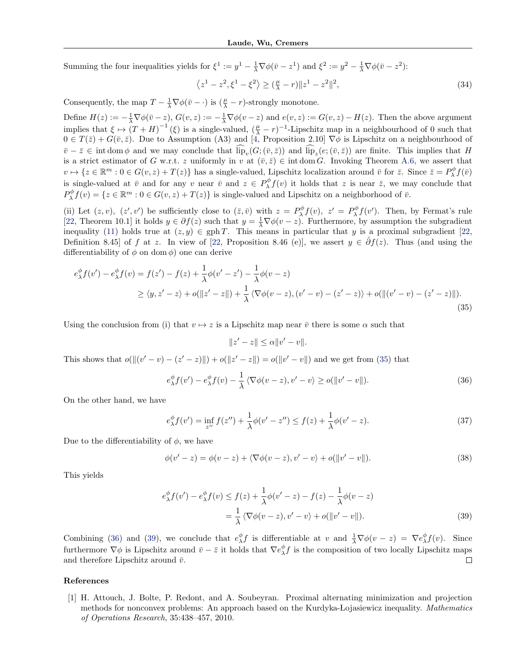Summing the four inequalities yields for  $\xi^1 := y^1 - \frac{1}{\lambda} \nabla \phi(\bar{v} - z^1)$  and  $\xi^2 := y^2 - \frac{1}{\lambda} \nabla \phi(\bar{v} - z^2)$ :

$$
\langle z^1 - z^2, \xi^1 - \xi^2 \rangle \ge (\frac{\mu}{\lambda} - r) \|z^1 - z^2\|^2,
$$
\n(34)

Consequently, the map  $T - \frac{1}{\lambda} \nabla \phi(\bar{v} - \cdot)$  is  $(\frac{\mu}{\lambda} - r)$ -strongly monotone.

Define  $H(z) := -\frac{1}{\lambda} \nabla \phi(\bar{v} - z)$ ,  $G(v, z) := -\frac{1}{\lambda} \nabla \phi(v - z)$  and  $e(v, z) := G(v, z) - H(z)$ . Then the above argument implies that  $\xi \mapsto (T+H)^{-1}(\xi)$  is a single-valued,  $(\frac{\mu}{\lambda}-r)^{-1}$ -Lipschitz map in a neighbourhood of 0 such that  $0 \in T(\bar{z}) + G(\bar{v}, \bar{z})$ . Due to Assumption (A3) and [\[4,](#page-5-0) Proposition 2.10]  $\nabla \phi$  is Lipschitz on a neighbourhood of  $\overline{v} - \overline{z} \in \text{int dom } \phi$  and we may conclude that  $\widehat{\text{lip}}_{v}(G; (\overline{v}, \overline{z}))$  and  $\widehat{\text{lip}}_{z}(e; (\overline{v}, \overline{z}))$  are finite. This implies that *H* is a strict estimator of *G* w.r.t. *z* uniformly in *v* at  $(\bar{v}, \bar{z}) \in \text{int dom } G$ . Invoking Theorem [A.6,](#page-2-0) we assert that  $v \mapsto \{z \in \mathbb{R}^m : 0 \in G(v, z) + T(z)\}$  has a single-valued, Lipschitz localization around  $\bar{v}$  for  $\bar{z}$ . Since  $\bar{z} = P_\lambda^\phi f(\bar{v})$ is single-valued at  $\bar{v}$  and for any *v* near  $\bar{v}$  and  $z \in P^{\phi}_{\lambda} f(v)$  it holds that *z* is near  $\bar{z}$ , we may conclude that  $P_{\lambda}^{\phi} f(v) = \{z \in \mathbb{R}^m : 0 \in G(v, z) + T(z)\}$  is single-valued and Lipschitz on a neighborhood of  $\bar{v}$ .

(ii) Let  $(z, v)$ ,  $(z', v')$  be sufficiently close to  $(\bar{z}, \bar{v})$  with  $z = P^{\phi}_{\lambda} f(v)$ ,  $z' = P^{\phi}_{\lambda} f(v')$ . Then, by Fermat's rule [\[22,](#page-5-0) Theorem 10.1] it holds  $y \in \partial f(z)$  such that  $y = \frac{1}{\lambda} \nabla \phi(v - z)$ . Furthermore, by assumption the subgradient inequality [\(11\)](#page-0-0) holds true at  $(z, y) \in \text{gph } T$ . This means in particular that *y* is a proximal subgradient [\[22,](#page-5-0) Definition 8.45] of *f* at *z*. In view of [\[22,](#page-5-0) Proposition 8.46 (e)], we assert  $y \in \partial f(z)$ . Thus (and using the differentiability of  $\phi$  on dom  $\phi$ ) one can derive

$$
e_{\lambda}^{\phi} f(v') - e_{\lambda}^{\phi} f(v) = f(z') - f(z) + \frac{1}{\lambda} \phi(v' - z') - \frac{1}{\lambda} \phi(v - z)
$$
  
\n
$$
\geq \langle y, z' - z \rangle + o(\|z' - z\|) + \frac{1}{\lambda} \langle \nabla \phi(v - z), (v' - v) - (z' - z) \rangle + o(\|(v' - v) - (z' - z)\|).
$$
\n(35)

Using the conclusion from (i) that  $v \mapsto z$  is a Lipschitz map near  $\bar{v}$  there is some  $\alpha$  such that

$$
||z'-z|| \leq \alpha ||v'-v||.
$$

This shows that  $o(||(v' - v) - (z' - z)||) + o(||z' - z||) = o(||v' - v||)$  and we get from (35) that

$$
e^{\phi}_{\lambda} f(v') - e^{\phi}_{\lambda} f(v) - \frac{1}{\lambda} \langle \nabla \phi(v-z), v' - v \rangle \ge o(\|v' - v\|). \tag{36}
$$

On the other hand, we have

$$
e^{\phi}_{\lambda} f(v') = \inf_{z''} f(z'') + \frac{1}{\lambda} \phi(v' - z'') \le f(z) + \frac{1}{\lambda} \phi(v' - z).
$$
 (37)

Due to the differentiability of  $\phi$ , we have

$$
\phi(v'-z) = \phi(v-z) + \langle \nabla \phi(v-z), v'-v \rangle + o(||v'-v||). \tag{38}
$$

This yields

$$
e_{\lambda}^{\phi} f(v') - e_{\lambda}^{\phi} f(v) \le f(z) + \frac{1}{\lambda} \phi(v' - z) - f(z) - \frac{1}{\lambda} \phi(v - z)
$$
  
= 
$$
\frac{1}{\lambda} \langle \nabla \phi(v - z), v' - v \rangle + o(||v' - v||).
$$
 (39)

Combining (36) and (39), we conclude that  $e^{\phi}_{\lambda} f$  is differentiable at *v* and  $\frac{1}{\lambda} \nabla \phi(v-z) = \nabla e^{\phi}_{\lambda} f(v)$ . Since furthermore  $\nabla \phi$  is Lipschitz around  $\bar{v} - \bar{z}$  it holds that  $\nabla e_{\lambda}^{\phi} f$  is the composition of two locally Lipschitz maps and therefore Lipschitz around  $\bar{v}$ .

## References

[1] H. Attouch, J. Bolte, P. Redont, and A. Soubeyran. Proximal alternating minimization and projection methods for nonconvex problems: An approach based on the Kurdyka-Lojasiewicz inequality. *Mathematics of Operations Research*, 35:438–457, 2010.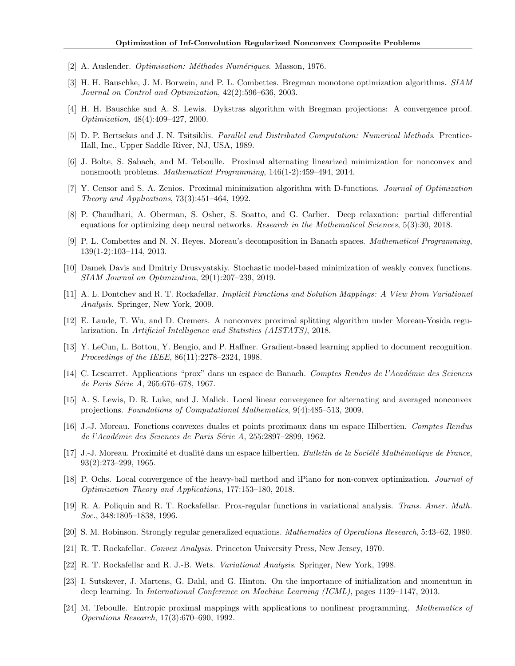- <span id="page-5-0"></span>[2] A. Auslender. *Optimisation: M´ethodes Num´eriques*. Masson, 1976.
- [3] H. H. Bauschke, J. M. Borwein, and P. L. Combettes. Bregman monotone optimization algorithms. *SIAM Journal on Control and Optimization*, 42(2):596–636, 2003.
- [4] H. H. Bauschke and A. S. Lewis. Dykstras algorithm with Bregman projections: A convergence proof. *Optimization*, 48(4):409–427, 2000.
- [5] D. P. Bertsekas and J. N. Tsitsiklis. *Parallel and Distributed Computation: Numerical Methods*. Prentice-Hall, Inc., Upper Saddle River, NJ, USA, 1989.
- [6] J. Bolte, S. Sabach, and M. Teboulle. Proximal alternating linearized minimization for nonconvex and nonsmooth problems. *Mathematical Programming*, 146(1-2):459–494, 2014.
- [7] Y. Censor and S. A. Zenios. Proximal minimization algorithm with D-functions. *Journal of Optimization Theory and Applications*, 73(3):451–464, 1992.
- [8] P. Chaudhari, A. Oberman, S. Osher, S. Soatto, and G. Carlier. Deep relaxation: partial differential equations for optimizing deep neural networks. *Research in the Mathematical Sciences*, 5(3):30, 2018.
- [9] P. L. Combettes and N. N. Reyes. Moreau's decomposition in Banach spaces. *Mathematical Programming*, 139(1-2):103–114, 2013.
- [10] Damek Davis and Dmitriy Drusvyatskiy. Stochastic model-based minimization of weakly convex functions. *SIAM Journal on Optimization*, 29(1):207–239, 2019.
- [11] A. L. Dontchev and R. T. Rockafellar. *Implicit Functions and Solution Mappings: A View From Variational Analysis*. Springer, New York, 2009.
- [12] E. Laude, T. Wu, and D. Cremers. A nonconvex proximal splitting algorithm under Moreau-Yosida regularization. In *Artificial Intelligence and Statistics (AISTATS)*, 2018.
- [13] Y. LeCun, L. Bottou, Y. Bengio, and P. Haffner. Gradient-based learning applied to document recognition. *Proceedings of the IEEE*, 86(11):2278–2324, 1998.
- [14] C. Lescarret. Applications "prox" dans un espace de Banach. *Comptes Rendus de l'Acad´emie des Sciences de Paris S´erie A*, 265:676–678, 1967.
- [15] A. S. Lewis, D. R. Luke, and J. Malick. Local linear convergence for alternating and averaged nonconvex projections. *Foundations of Computational Mathematics*, 9(4):485–513, 2009.
- [16] J.-J. Moreau. Fonctions convexes duales et points proximaux dans un espace Hilbertien. *Comptes Rendus de l'Acad´emie des Sciences de Paris S´erie A*, 255:2897–2899, 1962.
- [17] J.-J. Moreau. Proximité et dualité dans un espace hilbertien. *Bulletin de la Société Mathématique de France*, 93(2):273–299, 1965.
- [18] P. Ochs. Local convergence of the heavy-ball method and iPiano for non-convex optimization. *Journal of Optimization Theory and Applications*, 177:153–180, 2018.
- [19] R. A. Poliquin and R. T. Rockafellar. Prox-regular functions in variational analysis. *Trans. Amer. Math. Soc.*, 348:1805–1838, 1996.
- [20] S. M. Robinson. Strongly regular generalized equations. *Mathematics of Operations Research*, 5:43–62, 1980.
- [21] R. T. Rockafellar. *Convex Analysis*. Princeton University Press, New Jersey, 1970.
- [22] R. T. Rockafellar and R. J.-B. Wets. *Variational Analysis*. Springer, New York, 1998.
- [23] I. Sutskever, J. Martens, G. Dahl, and G. Hinton. On the importance of initialization and momentum in deep learning. In *International Conference on Machine Learning (ICML)*, pages 1139–1147, 2013.
- [24] M. Teboulle. Entropic proximal mappings with applications to nonlinear programming. *Mathematics of Operations Research*, 17(3):670–690, 1992.